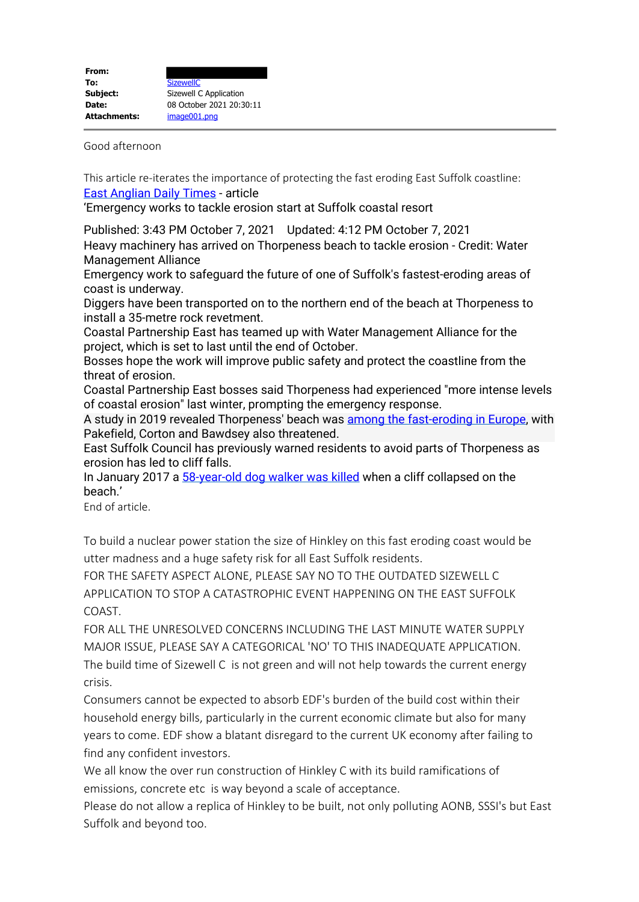Good afternoon

This article re-iterates the importance of protecting the fast eroding East Suffolk coastline: East Anglian Daily Times - article

'Emergency works to tackle erosion start at Suffolk coastal resort

Published: 3:43 PM October 7, 2021 Updated: 4:12 PM October 7, 2021 Heavy machinery has arrived on Thorpeness beach to tackle erosion - Credit: Water Management Alliance

Emergency work to safeguard the future of one of Suffolk's fastest-eroding areas of coast is underway.

Diggers have been transported on to the northern end of the beach at Thorpeness to install a 35-metre rock revetment.

Coastal Partnership East has teamed up with Water Management Alliance for the project, which is set to last until the end of October.

Bosses hope the work will improve public safety and protect the coastline from the threat of erosion.

Coastal Partnership East bosses said Thorpeness had experienced "more intense levels of coastal erosion" last winter, prompting the emergency response.

A study in 2019 revealed Thorpeness' beach was among the fast-eroding in Europe, with Pakefield, Corton and Bawdsey also threatened.

East Suffolk Council has previously warned residents to avoid parts of Thorpeness as erosion has led to cliff falls.

In January 2017 a 58-year-old dog walker was killed when a cliff collapsed on the beach.'

End of article.

To build a nuclear power station the size of Hinkley on this fast eroding coast would be utter madness and a huge safety risk for all East Suffolk residents.

FOR THE SAFETY ASPECT ALONE, PLEASE SAY NO TO THE OUTDATED SIZEWELL C APPLICATION TO STOP A CATASTROPHIC EVENT HAPPENING ON THE EAST SUFFOLK COAST.

FOR ALL THE UNRESOLVED CONCERNS INCLUDING THE LAST MINUTE WATER SUPPLY MAJOR ISSUE, PLEASE SAY A CATEGORICAL 'NO' TO THIS INADEQUATE APPLICATION. The build time of Sizewell C is not green and will not help towards the current energy crisis.

Consumers cannot be expected to absorb EDF's burden of the build cost within their household energy bills, particularly in the current economic climate but also for many years to come. EDF show a blatant disregard to the current UK economy after failing to find any confident investors.

We all know the over run construction of Hinkley C with its build ramifications of emissions, concrete etc is way beyond a scale of acceptance.

Please do not allow a replica of Hinkley to be built, not only polluting AONB, SSSI's but East Suffolk and beyond too.